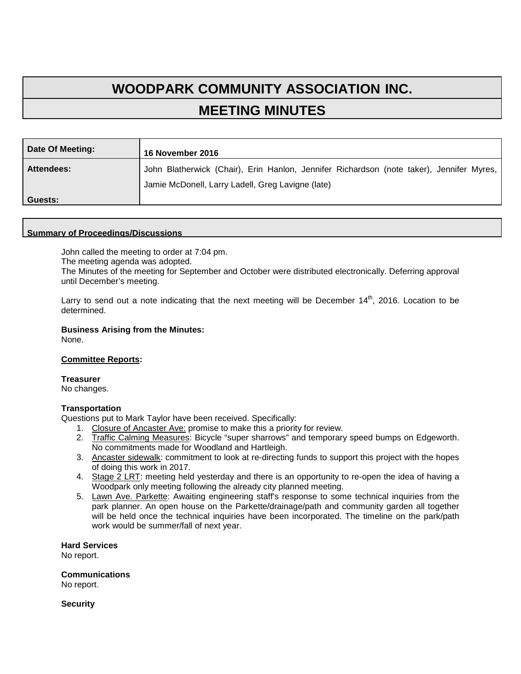# **WOODPARK COMMUNITY ASSOCIATION INC. MEETING MINUTES**

| Date Of Meeting:  | 16 November 2016                                                                                                                              |
|-------------------|-----------------------------------------------------------------------------------------------------------------------------------------------|
| <b>Attendees:</b> | John Blatherwick (Chair), Erin Hanlon, Jennifer Richardson (note taker), Jennifer Myres,<br>Jamie McDonell, Larry Ladell, Greg Lavigne (late) |
| Guests:           |                                                                                                                                               |

#### **Summary of Proceedings/Discussions**

John called the meeting to order at 7:04 pm.

The meeting agenda was adopted.

The Minutes of the meeting for September and October were distributed electronically. Deferring approval until December's meeting.

Larry to send out a note indicating that the next meeting will be December  $14<sup>th</sup>$ , 2016. Location to be determined.

## **Business Arising from the Minutes:**

None.

#### **Committee Reports:**

**Treasurer** 

No changes.

#### **Transportation**

Questions put to Mark Taylor have been received. Specifically:

- 1. Closure of Ancaster Ave: promise to make this a priority for review.
- 2. Traffic Calming Measures: Bicycle "super sharrows" and temporary speed bumps on Edgeworth. No commitments made for Woodland and Hartleigh.
- 3. Ancaster sidewalk: commitment to look at re-directing funds to support this project with the hopes of doing this work in 2017.
- 4. Stage 2 LRT: meeting held yesterday and there is an opportunity to re-open the idea of having a Woodpark only meeting following the already city planned meeting.
- 5. Lawn Ave. Parkette: Awaiting engineering staff's response to some technical inquiries from the park planner. An open house on the Parkette/drainage/path and community garden all together will be held once the technical inquiries have been incorporated. The timeline on the park/path work would be summer/fall of next year.

**Hard Services**

No report.

**Communications**

No report.

**Security**